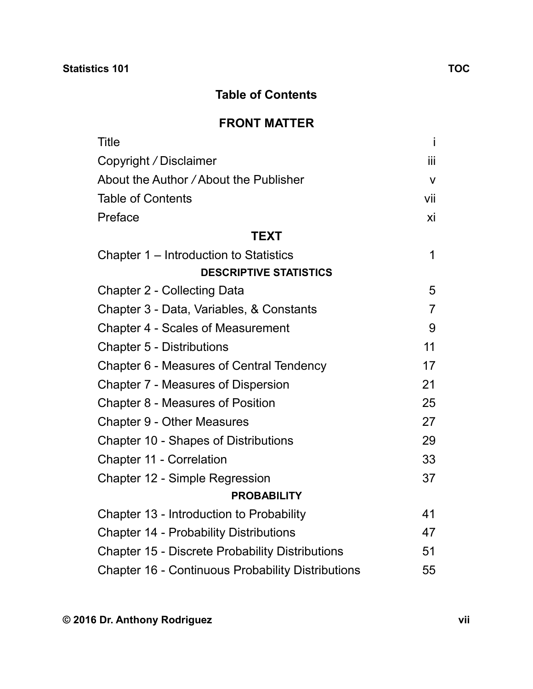## **Table of Contents**

## **FRONT MATTER**

| <b>Title</b>                                             | İ              |
|----------------------------------------------------------|----------------|
| Copyright / Disclaimer                                   | ΪİΙ            |
| About the Author / About the Publisher                   | $\mathsf{V}$   |
| <b>Table of Contents</b>                                 | vii            |
| Preface                                                  | хi             |
| <b>TEXT</b>                                              |                |
| Chapter 1 – Introduction to Statistics                   | 1              |
| <b>DESCRIPTIVE STATISTICS</b>                            |                |
| <b>Chapter 2 - Collecting Data</b>                       | 5              |
| Chapter 3 - Data, Variables, & Constants                 | $\overline{7}$ |
| <b>Chapter 4 - Scales of Measurement</b>                 | 9              |
| <b>Chapter 5 - Distributions</b>                         | 11             |
| Chapter 6 - Measures of Central Tendency                 | 17             |
| <b>Chapter 7 - Measures of Dispersion</b>                | 21             |
| Chapter 8 - Measures of Position                         | 25             |
| <b>Chapter 9 - Other Measures</b>                        | 27             |
| Chapter 10 - Shapes of Distributions                     | 29             |
| <b>Chapter 11 - Correlation</b>                          | 33             |
| Chapter 12 - Simple Regression                           | 37             |
| <b>PROBABILITY</b>                                       |                |
| Chapter 13 - Introduction to Probability                 | 41             |
| <b>Chapter 14 - Probability Distributions</b>            | 47             |
| <b>Chapter 15 - Discrete Probability Distributions</b>   | 51             |
| <b>Chapter 16 - Continuous Probability Distributions</b> | 55             |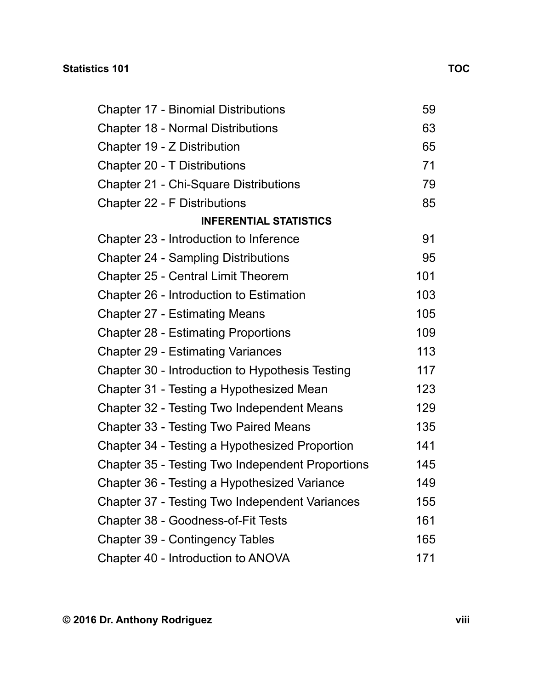| <b>Chapter 17 - Binomial Distributions</b>       | 59  |  |
|--------------------------------------------------|-----|--|
| <b>Chapter 18 - Normal Distributions</b>         | 63  |  |
| Chapter 19 - Z Distribution                      | 65  |  |
| <b>Chapter 20 - T Distributions</b>              | 71  |  |
| <b>Chapter 21 - Chi-Square Distributions</b>     | 79  |  |
| <b>Chapter 22 - F Distributions</b>              | 85  |  |
| <b>INFERENTIAL STATISTICS</b>                    |     |  |
| Chapter 23 - Introduction to Inference           | 91  |  |
| <b>Chapter 24 - Sampling Distributions</b>       | 95  |  |
| <b>Chapter 25 - Central Limit Theorem</b>        | 101 |  |
| Chapter 26 - Introduction to Estimation          | 103 |  |
| <b>Chapter 27 - Estimating Means</b>             | 105 |  |
| <b>Chapter 28 - Estimating Proportions</b>       | 109 |  |
| <b>Chapter 29 - Estimating Variances</b>         | 113 |  |
| Chapter 30 - Introduction to Hypothesis Testing  | 117 |  |
| Chapter 31 - Testing a Hypothesized Mean         | 123 |  |
| Chapter 32 - Testing Two Independent Means       | 129 |  |
| Chapter 33 - Testing Two Paired Means            | 135 |  |
| Chapter 34 - Testing a Hypothesized Proportion   | 141 |  |
| Chapter 35 - Testing Two Independent Proportions | 145 |  |
| Chapter 36 - Testing a Hypothesized Variance     | 149 |  |
| Chapter 37 - Testing Two Independent Variances   | 155 |  |
| Chapter 38 - Goodness-of-Fit Tests               | 161 |  |
| Chapter 39 - Contingency Tables                  | 165 |  |
| Chapter 40 - Introduction to ANOVA               | 171 |  |